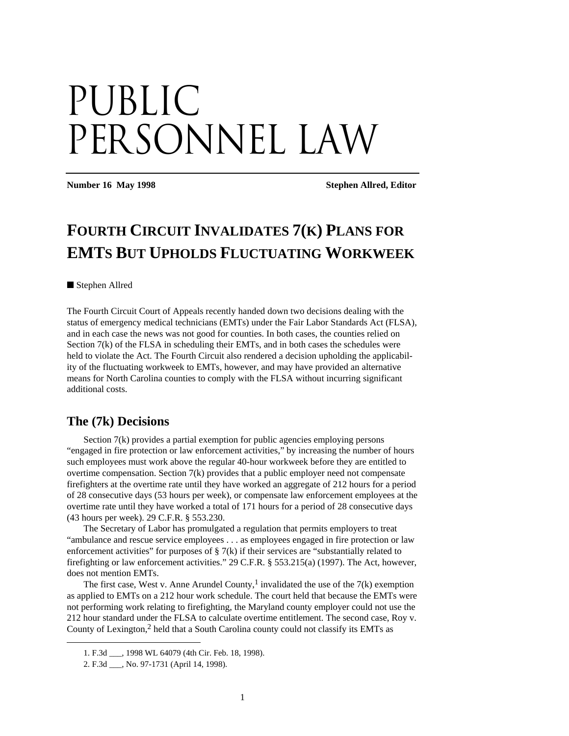# Public PERSONNEL LAW

**Number 16 May 1998** Stephen Allred, Editor

## **FOURTH CIRCUIT INVALIDATES 7(K) PLANS FOR EMTS BUT UPHOLDS FLUCTUATING WORKWEEK**

#### ■ Stephen Allred

The Fourth Circuit Court of Appeals recently handed down two decisions dealing with the status of emergency medical technicians (EMTs) under the Fair Labor Standards Act (FLSA), and in each case the news was not good for counties. In both cases, the counties relied on Section  $7(k)$  of the FLSA in scheduling their EMTs, and in both cases the schedules were held to violate the Act. The Fourth Circuit also rendered a decision upholding the applicability of the fluctuating workweek to EMTs, however, and may have provided an alternative means for North Carolina counties to comply with the FLSA without incurring significant additional costs.

#### **The (7k) Decisions**

Section 7(k) provides a partial exemption for public agencies employing persons "engaged in fire protection or law enforcement activities," by increasing the number of hours such employees must work above the regular 40-hour workweek before they are entitled to overtime compensation. Section  $7(k)$  provides that a public employer need not compensate firefighters at the overtime rate until they have worked an aggregate of 212 hours for a period of 28 consecutive days (53 hours per week), or compensate law enforcement employees at the overtime rate until they have worked a total of 171 hours for a period of 28 consecutive days (43 hours per week). 29 C.F.R. § 553.230.

The Secretary of Labor has promulgated a regulation that permits employers to treat "ambulance and rescue service employees . . . as employees engaged in fire protection or law enforcement activities" for purposes of  $\S$  7(k) if their services are "substantially related to firefighting or law enforcement activities." 29 C.F.R. § 553.215(a) (1997). The Act, however, does not mention EMTs.

The first case, West v. Anne Arundel County,<sup>1</sup> invalidated the use of the  $7(k)$  exemption as applied to EMTs on a 212 hour work schedule. The court held that because the EMTs were not performing work relating to firefighting, the Maryland county employer could not use the 212 hour standard under the FLSA to calculate overtime entitlement. The second case, Roy v. County of Lexington,<sup>2</sup> held that a South Carolina county could not classify its EMTs as

1

<sup>1.</sup> F.3d \_\_\_, 1998 WL 64079 (4th Cir. Feb. 18, 1998).

<sup>2.</sup> F.3d \_\_\_, No. 97-1731 (April 14, 1998).